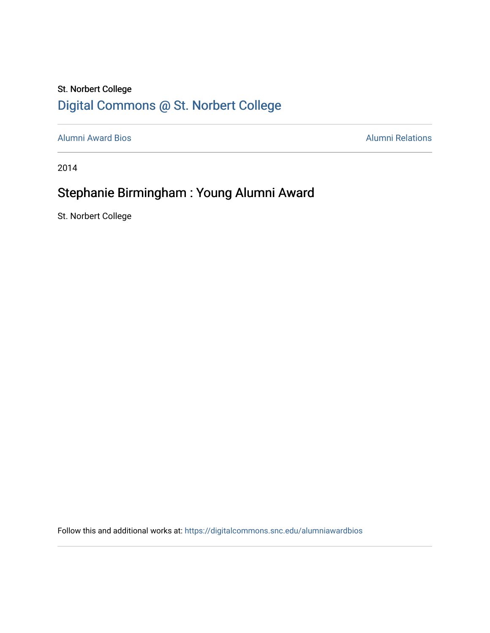#### St. Norbert College [Digital Commons @ St. Norbert College](https://digitalcommons.snc.edu/)

[Alumni Award Bios](https://digitalcommons.snc.edu/alumniawardbios) **Alumni Relations** Alumni Relations

2014

### Stephanie Birmingham : Young Alumni Award

St. Norbert College

Follow this and additional works at: [https://digitalcommons.snc.edu/alumniawardbios](https://digitalcommons.snc.edu/alumniawardbios?utm_source=digitalcommons.snc.edu%2Falumniawardbios%2F49&utm_medium=PDF&utm_campaign=PDFCoverPages)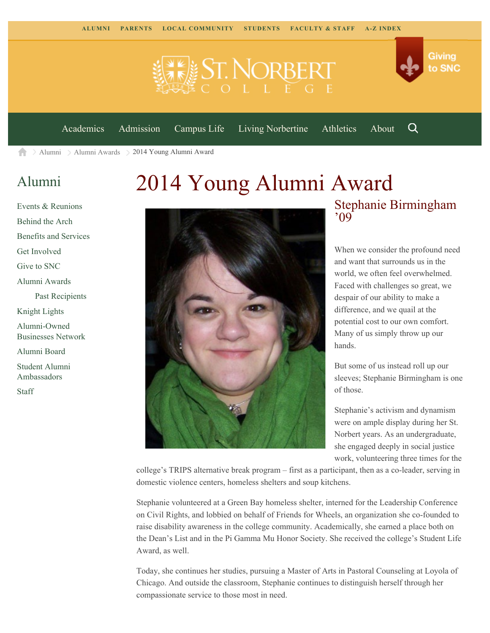



[Academics](https://www.snc.edu/academics) [Admission](https://www.snc.edu/admission) [Campus Life](https://www.snc.edu/campuslife) [Living Norbertine](https://www.snc.edu/livingnorbertine) [Athletics](https://www.snc.edu/athletics) [About](https://www.snc.edu/about)

Q

[Alumni](https://www.snc.edu/alumni/) [Alumni Awards](https://www.snc.edu/alumni/awards/) 2014 Young Alumni Award A

#### [Alumni](https://www.snc.edu/alumni/index.html)

[Events & Reunions](https://www.snc.edu/alumni/event/index.html) [Behind the Arch](https://www.snc.edu/alumni/event/behindthearch/) [Benefits and Services](https://www.snc.edu/alumni/benefits.html) [Get Involved](https://www.snc.edu/alumni/getinvolved.html) [Give to SNC](http://giving.snc.edu/) [Alumni Awards](https://www.snc.edu/alumni/awards/index.html) [Past Recipients](https://www.snc.edu/alumni/awards/recipients.html) [Knight Lights](https://www.snc.edu/alumni/knightlights/index.html) [Alumni-Owned](https://www.snc.edu/alumni/directory/index.html) [Businesses Network](https://www.snc.edu/alumni/directory/index.html) [Alumni Board](https://www.snc.edu/alumni/alumniboard.html) [Student Alumni](https://www.snc.edu/alumni/saa.html) [Ambassadors](https://www.snc.edu/alumni/saa.html) [Staff](https://www.snc.edu/alumni/contactus.html)

# 2014 Young Alumni Award



## Stephanie Birmingham '09

When we consider the profound need and want that surrounds us in the world, we often feel overwhelmed. Faced with challenges so great, we despair of our ability to make a difference, and we quail at the potential cost to our own comfort. Many of us simply throw up our hands.

But some of us instead roll up our sleeves; Stephanie Birmingham is one of those.

Stephanie's activism and dynamism were on ample display during her St. Norbert years. As an undergraduate, she engaged deeply in social justice work, volunteering three times for the

college's TRIPS alternative break program – first as a participant, then as a co-leader, serving in domestic violence centers, homeless shelters and soup kitchens.

Stephanie volunteered at a Green Bay homeless shelter, interned for the Leadership Conference on Civil Rights, and lobbied on behalf of Friends for Wheels, an organization she co-founded to raise disability awareness in the college community. Academically, she earned a place both on the Dean's List and in the Pi Gamma Mu Honor Society. She received the college's Student Life Award, as well.

Today, she continues her studies, pursuing a Master of Arts in Pastoral Counseling at Loyola of Chicago. And outside the classroom, Stephanie continues to distinguish herself through her compassionate service to those most in need.